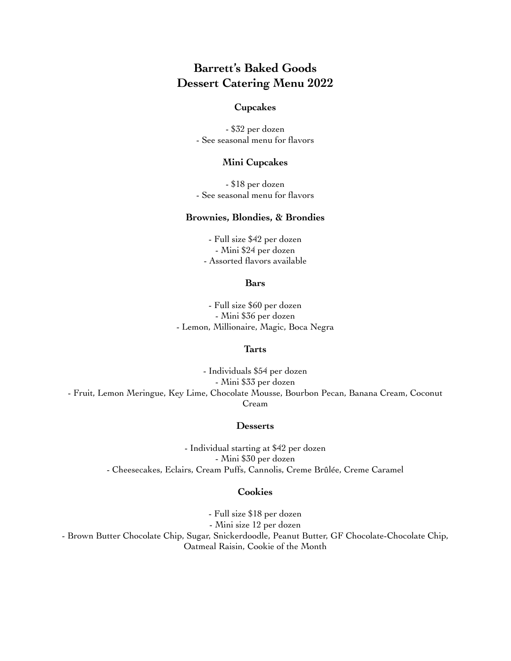# **Barrett's Baked Goods Dessert Catering Menu 2022**

### **Cupcakes**

- \$32 per dozen - See seasonal menu for flavors

### **Mini Cupcakes**

- \$18 per dozen - See seasonal menu for flavors

# **Brownies, Blondies, & Brondies**

- Full size \$42 per dozen - Mini \$24 per dozen - Assorted flavors available

#### **Bars**

- Full size \$60 per dozen - Mini \$36 per dozen - Lemon, Millionaire, Magic, Boca Negra

#### **Tarts**

- Individuals \$54 per dozen - Mini \$33 per dozen - Fruit, Lemon Meringue, Key Lime, Chocolate Mousse, Bourbon Pecan, Banana Cream, Coconut Cream

#### **Desserts**

- Individual starting at \$42 per dozen - Mini \$30 per dozen - Cheesecakes, Eclairs, Cream Puffs, Cannolis, Creme Brûlée, Creme Caramel

# **Cookies**

- Full size \$18 per dozen - Mini size 12 per dozen - Brown Butter Chocolate Chip, Sugar, Snickerdoodle, Peanut Butter, GF Chocolate-Chocolate Chip, Oatmeal Raisin, Cookie of the Month